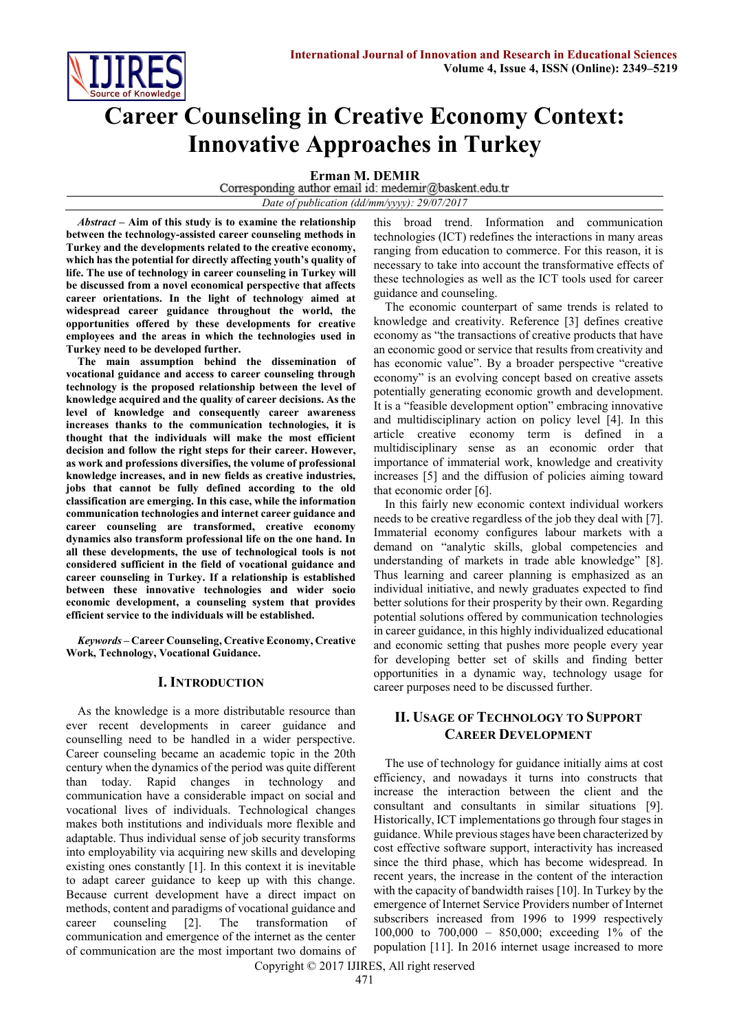

# **Career Counseling in Creative Economy Context: Innovative Approaches in Turkey**

**Erman M. DEMIR**<br>Corresponding author email id: medemir@baskent.edu.tr

*Date of publication (dd/mm/yyyy): 29/07/2017*

*Abstract* **– Aim of this study is to examine the relationship between the technology-assisted career counseling methods in Turkey and the developments related to the creative economy, which has the potential for directly affecting youth's quality of life. The use of technology in career counseling in Turkey will be discussed from a novel economical perspective that affects career orientations. In the light of technology aimed at widespread career guidance throughout the world, the opportunities offered by these developments for creative employees and the areas in which the technologies used in Turkey need to be developed further.**

**The main assumption behind the dissemination of vocational guidance and access to career counseling through technology is the proposed relationship between the level of knowledge acquired and the quality of career decisions. As the level of knowledge and consequently career awareness increases thanks to the communication technologies, it is thought that the individuals will make the most efficient decision and follow the right steps for their career. However, as work and professions diversifies, the volume of professional knowledge increases, and in new fields as creative industries, jobs that cannot be fully defined according to the old classification are emerging. In this case, while the information communication technologies and internet career guidance and career counseling are transformed, creative economy dynamics also transform professional life on the one hand. In all these developments, the use of technological tools is not considered sufficient in the field of vocational guidance and career counseling in Turkey. If a relationship is established between these innovative technologies and wider socio economic development, a counseling system that provides efficient service to the individuals will be established.**

*Keywords* **– Career Counseling, Creative Economy, Creative Work, Technology, Vocational Guidance.**

### **I. INTRODUCTION**

As the knowledge is a more distributable resource than ever recent developments in career guidance and counselling need to be handled in a wider perspective. Career counseling became an academic topic in the 20th century when the dynamics of the period was quite different than today. Rapid changes in technology and communication have a considerable impact on social and vocational lives of individuals. Technological changes makes both institutions and individuals more flexible and adaptable. Thus individual sense of job security transforms into employability via acquiring new skills and developing existing ones constantly [1]. In this context it is inevitable to adapt career guidance to keep up with this change. Because current development have a direct impact on methods, content and paradigms of vocational guidance and career counseling [2]. The transformation of communication and emergence of the internet as the center of communication are the most important two domains of

this broad trend. Information and communication technologies (ICT) redefines the interactions in many areas ranging from education to commerce. For this reason, it is necessary to take into account the transformative effects of these technologies as well as the ICT tools used for career guidance and counseling.

The economic counterpart of same trends is related to knowledge and creativity. Reference [3] defines creative economy as "the transactions of creative products that have an economic good or service that results from creativity and has economic value". By a broader perspective "creative economy" is an evolving concept based on creative assets potentially generating economic growth and development. It is a "feasible development option" embracing innovative and multidisciplinary action on policy level [4]. In this article creative economy term is defined in a multidisciplinary sense as an economic order that importance of immaterial work, knowledge and creativity increases [5] and the diffusion of policies aiming toward that economic order [6].

In this fairly new economic context individual workers needs to be creative regardless of the job they deal with [7]. Immaterial economy configures labour markets with a demand on "analytic skills, global competencies and understanding of markets in trade able knowledge" [8]. Thus learning and career planning is emphasized as an individual initiative, and newly graduates expected to find better solutions for their prosperity by their own. Regarding potential solutions offered by communication technologies in career guidance, in this highly individualized educational and economic setting that pushes more people every year for developing better set of skills and finding better opportunities in a dynamic way, technology usage for career purposes need to be discussed further.

## **II. USAGE OF TECHNOLOGY TO SUPPORT CAREER DEVELOPMENT**

The use of technology for guidance initially aims at cost efficiency, and nowadays it turns into constructs that increase the interaction between the client and the consultant and consultants in similar situations [9]. Historically, ICT implementations go through four stages in guidance. While previous stages have been characterized by cost effective software support, interactivity has increased since the third phase, which has become widespread. In recent years, the increase in the content of the interaction with the capacity of bandwidth raises [10]. In Turkey by the emergence of Internet Service Providers number of Internet subscribers increased from 1996 to 1999 respectively 100,000 to 700,000 – 850,000; exceeding 1% of the population [11]. In 2016 internet usage increased to more

Copyright © 2017 IJIRES, All right reserved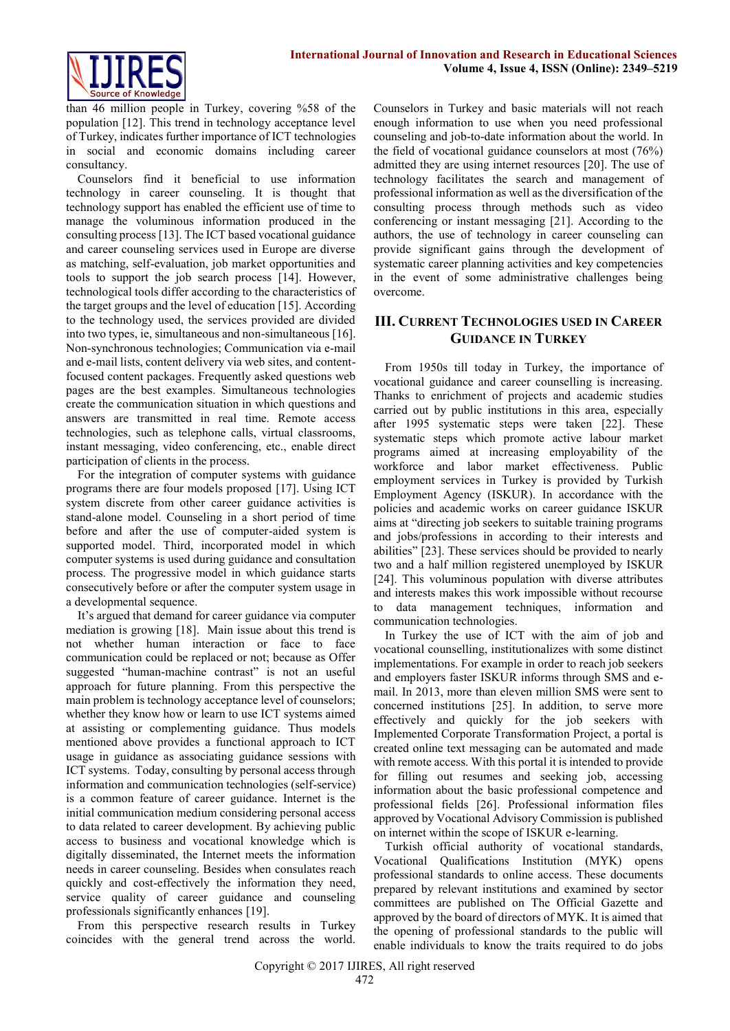

than 46 million people in Turkey, covering %58 of the population [12]. This trend in technology acceptance level of Turkey, indicates further importance of ICT technologies in social and economic domains including career consultancy.

Counselors find it beneficial to use information technology in career counseling. It is thought that technology support has enabled the efficient use of time to manage the voluminous information produced in the consulting process [13]. The ICT based vocational guidance and career counseling services used in Europe are diverse as matching, self-evaluation, job market opportunities and tools to support the job search process [14]. However, technological tools differ according to the characteristics of the target groups and the level of education [15]. According to the technology used, the services provided are divided into two types, ie, simultaneous and non-simultaneous [16]. Non-synchronous technologies; Communication via e-mail and e-mail lists, content delivery via web sites, and contentfocused content packages. Frequently asked questions web pages are the best examples. Simultaneous technologies create the communication situation in which questions and answers are transmitted in real time. Remote access technologies, such as telephone calls, virtual classrooms, instant messaging, video conferencing, etc., enable direct participation of clients in the process.

For the integration of computer systems with guidance programs there are four models proposed [17]. Using ICT system discrete from other career guidance activities is stand-alone model. Counseling in a short period of time before and after the use of computer-aided system is supported model. Third, incorporated model in which computer systems is used during guidance and consultation process. The progressive model in which guidance starts consecutively before or after the computer system usage in a developmental sequence.

It's argued that demand for career guidance via computer mediation is growing [18]. Main issue about this trend is not whether human interaction or face to face communication could be replaced or not; because as Offer suggested "human-machine contrast" is not an useful approach for future planning. From this perspective the main problem is technology acceptance level of counselors; whether they know how or learn to use ICT systems aimed at assisting or complementing guidance. Thus models mentioned above provides a functional approach to ICT usage in guidance as associating guidance sessions with ICT systems. Today, consulting by personal access through information and communication technologies (self-service) is a common feature of career guidance. Internet is the initial communication medium considering personal access to data related to career development. By achieving public access to business and vocational knowledge which is digitally disseminated, the Internet meets the information needs in career counseling. Besides when consulates reach quickly and cost-effectively the information they need, service quality of career guidance and counseling professionals significantly enhances [19].

From this perspective research results in Turkey coincides with the general trend across the world. Counselors in Turkey and basic materials will not reach enough information to use when you need professional counseling and job-to-date information about the world. In the field of vocational guidance counselors at most (76%) admitted they are using internet resources [20]. The use of technology facilitates the search and management of professional information as well as the diversification of the consulting process through methods such as video conferencing or instant messaging [21]. According to the authors, the use of technology in career counseling can provide significant gains through the development of systematic career planning activities and key competencies in the event of some administrative challenges being overcome.

## **III. CURRENT TECHNOLOGIES USED IN CAREER GUIDANCE IN TURKEY**

From 1950s till today in Turkey, the importance of vocational guidance and career counselling is increasing. Thanks to enrichment of projects and academic studies carried out by public institutions in this area, especially after 1995 systematic steps were taken [22]. These systematic steps which promote active labour market programs aimed at increasing employability of the workforce and labor market effectiveness. Public employment services in Turkey is provided by Turkish Employment Agency (ISKUR). In accordance with the policies and academic works on career guidance ISKUR aims at "directing job seekers to suitable training programs and jobs/professions in according to their interests and abilities" [23]. These services should be provided to nearly two and a half million registered unemployed by ISKUR [24]. This voluminous population with diverse attributes and interests makes this work impossible without recourse to data management techniques, information and communication technologies.

In Turkey the use of ICT with the aim of job and vocational counselling, institutionalizes with some distinct implementations. For example in order to reach job seekers and employers faster ISKUR informs through SMS and email. In 2013, more than eleven million SMS were sent to concerned institutions [25]. In addition, to serve more effectively and quickly for the job seekers with Implemented Corporate Transformation Project, a portal is created online text messaging can be automated and made with remote access. With this portal it is intended to provide for filling out resumes and seeking job, accessing information about the basic professional competence and professional fields [26]. Professional information files approved by Vocational Advisory Commission is published on internet within the scope of ISKUR e-learning.

Turkish official authority of vocational standards, Vocational Qualifications Institution (MYK) opens professional standards to online access. These documents prepared by relevant institutions and examined by sector committees are published on The Official Gazette and approved by the board of directors of MYK. It is aimed that the opening of professional standards to the public will enable individuals to know the traits required to do jobs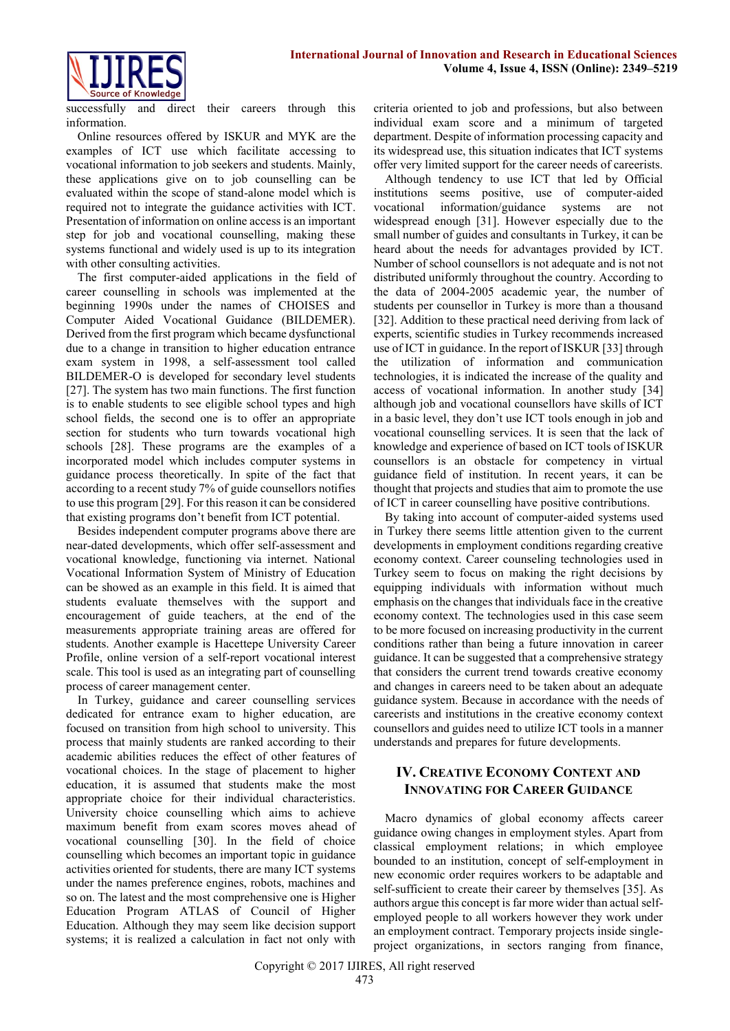

successfully and direct their careers through this information.

Online resources offered by ISKUR and MYK are the examples of ICT use which facilitate accessing to vocational information to job seekers and students. Mainly, these applications give on to job counselling can be evaluated within the scope of stand-alone model which is required not to integrate the guidance activities with ICT. Presentation of information on online access is an important step for job and vocational counselling, making these systems functional and widely used is up to its integration with other consulting activities.

The first computer-aided applications in the field of career counselling in schools was implemented at the beginning 1990s under the names of CHOISES and Computer Aided Vocational Guidance (BILDEMER). Derived from the first program which became dysfunctional due to a change in transition to higher education entrance exam system in 1998, a self-assessment tool called BILDEMER-O is developed for secondary level students [27]. The system has two main functions. The first function is to enable students to see eligible school types and high school fields, the second one is to offer an appropriate section for students who turn towards vocational high schools [28]. These programs are the examples of a incorporated model which includes computer systems in guidance process theoretically. In spite of the fact that according to a recent study 7% of guide counsellors notifies to use this program [29]. For this reason it can be considered that existing programs don't benefit from ICT potential.

Besides independent computer programs above there are near-dated developments, which offer self-assessment and vocational knowledge, functioning via internet. National Vocational Information System of Ministry of Education can be showed as an example in this field. It is aimed that students evaluate themselves with the support and encouragement of guide teachers, at the end of the measurements appropriate training areas are offered for students. Another example is Hacettepe University Career Profile, online version of a self-report vocational interest scale. This tool is used as an integrating part of counselling process of career management center.

In Turkey, guidance and career counselling services dedicated for entrance exam to higher education, are focused on transition from high school to university. This process that mainly students are ranked according to their academic abilities reduces the effect of other features of vocational choices. In the stage of placement to higher education, it is assumed that students make the most appropriate choice for their individual characteristics. University choice counselling which aims to achieve maximum benefit from exam scores moves ahead of vocational counselling [30]. In the field of choice counselling which becomes an important topic in guidance activities oriented for students, there are many ICT systems under the names preference engines, robots, machines and so on. The latest and the most comprehensive one is Higher Education Program ATLAS of Council of Higher Education. Although they may seem like decision support systems; it is realized a calculation in fact not only with

criteria oriented to job and professions, but also between individual exam score and a minimum of targeted department. Despite of information processing capacity and its widespread use, this situation indicates that ICT systems offer very limited support for the career needs of careerists.

Although tendency to use ICT that led by Official institutions seems positive, use of computer-aided vocational information/guidance systems are not widespread enough [31]. However especially due to the small number of guides and consultants in Turkey, it can be heard about the needs for advantages provided by ICT. Number of school counsellors is not adequate and is not not distributed uniformly throughout the country. According to the data of 2004-2005 academic year, the number of students per counsellor in Turkey is more than a thousand [32]. Addition to these practical need deriving from lack of experts, scientific studies in Turkey recommends increased use of ICT in guidance. In the report of ISKUR [33] through the utilization of information and communication technologies, it is indicated the increase of the quality and access of vocational information. In another study [34] although job and vocational counsellors have skills of ICT in a basic level, they don't use ICT tools enough in job and vocational counselling services. It is seen that the lack of knowledge and experience of based on ICT tools of ISKUR counsellors is an obstacle for competency in virtual guidance field of institution. In recent years, it can be thought that projects and studies that aim to promote the use of ICT in career counselling have positive contributions.

By taking into account of computer-aided systems used in Turkey there seems little attention given to the current developments in employment conditions regarding creative economy context. Career counseling technologies used in Turkey seem to focus on making the right decisions by equipping individuals with information without much emphasis on the changes that individuals face in the creative economy context. The technologies used in this case seem to be more focused on increasing productivity in the current conditions rather than being a future innovation in career guidance. It can be suggested that a comprehensive strategy that considers the current trend towards creative economy and changes in careers need to be taken about an adequate guidance system. Because in accordance with the needs of careerists and institutions in the creative economy context counsellors and guides need to utilize ICT tools in a manner understands and prepares for future developments.

## **IV. CREATIVE ECONOMY CONTEXT AND INNOVATING FOR CAREER GUIDANCE**

Macro dynamics of global economy affects career guidance owing changes in employment styles. Apart from classical employment relations; in which employee bounded to an institution, concept of self-employment in new economic order requires workers to be adaptable and self-sufficient to create their career by themselves [35]. As authors argue this concept is far more wider than actual selfemployed people to all workers however they work under an employment contract. Temporary projects inside singleproject organizations, in sectors ranging from finance,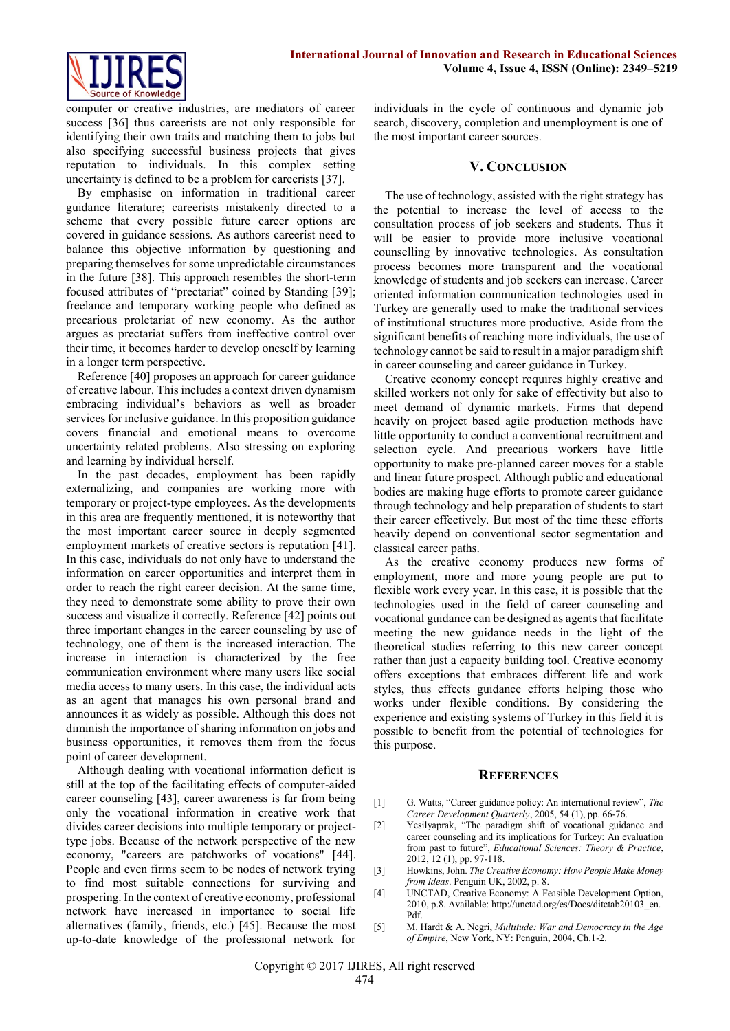

computer or creative industries, are mediators of career success [36] thus careerists are not only responsible for identifying their own traits and matching them to jobs but also specifying successful business projects that gives reputation to individuals. In this complex setting uncertainty is defined to be a problem for careerists [37].

By emphasise on information in traditional career guidance literature; careerists mistakenly directed to a scheme that every possible future career options are covered in guidance sessions. As authors careerist need to balance this objective information by questioning and preparing themselves for some unpredictable circumstances in the future [38]. This approach resembles the short-term focused attributes of "prectariat" coined by Standing [39]; freelance and temporary working people who defined as precarious proletariat of new economy. As the author argues as prectariat suffers from ineffective control over their time, it becomes harder to develop oneself by learning in a longer term perspective.

Reference [40] proposes an approach for career guidance of creative labour. This includes a context driven dynamism embracing individual's behaviors as well as broader services for inclusive guidance. In this proposition guidance covers financial and emotional means to overcome uncertainty related problems. Also stressing on exploring and learning by individual herself.

In the past decades, employment has been rapidly externalizing, and companies are working more with temporary or project-type employees. As the developments in this area are frequently mentioned, it is noteworthy that the most important career source in deeply segmented employment markets of creative sectors is reputation [41]. In this case, individuals do not only have to understand the information on career opportunities and interpret them in order to reach the right career decision. At the same time, they need to demonstrate some ability to prove their own success and visualize it correctly. Reference [42] points out three important changes in the career counseling by use of technology, one of them is the increased interaction. The increase in interaction is characterized by the free communication environment where many users like social media access to many users. In this case, the individual acts as an agent that manages his own personal brand and announces it as widely as possible. Although this does not diminish the importance of sharing information on jobs and business opportunities, it removes them from the focus point of career development.

Although dealing with vocational information deficit is still at the top of the facilitating effects of computer-aided career counseling [43], career awareness is far from being only the vocational information in creative work that divides career decisions into multiple temporary or projecttype jobs. Because of the network perspective of the new economy, "careers are patchworks of vocations" [44]. People and even firms seem to be nodes of network trying to find most suitable connections for surviving and prospering. In the context of creative economy, professional network have increased in importance to social life alternatives (family, friends, etc.) [45]. Because the most up-to-date knowledge of the professional network for

individuals in the cycle of continuous and dynamic job search, discovery, completion and unemployment is one of the most important career sources.

#### **V. CONCLUSION**

The use of technology, assisted with the right strategy has the potential to increase the level of access to the consultation process of job seekers and students. Thus it will be easier to provide more inclusive vocational counselling by innovative technologies. As consultation process becomes more transparent and the vocational knowledge of students and job seekers can increase. Career oriented information communication technologies used in Turkey are generally used to make the traditional services of institutional structures more productive. Aside from the significant benefits of reaching more individuals, the use of technology cannot be said to result in a major paradigm shift in career counseling and career guidance in Turkey.

Creative economy concept requires highly creative and skilled workers not only for sake of effectivity but also to meet demand of dynamic markets. Firms that depend heavily on project based agile production methods have little opportunity to conduct a conventional recruitment and selection cycle. And precarious workers have little opportunity to make pre-planned career moves for a stable and linear future prospect. Although public and educational bodies are making huge efforts to promote career guidance through technology and help preparation of students to start their career effectively. But most of the time these efforts heavily depend on conventional sector segmentation and classical career paths.

As the creative economy produces new forms of employment, more and more young people are put to flexible work every year. In this case, it is possible that the technologies used in the field of career counseling and vocational guidance can be designed as agents that facilitate meeting the new guidance needs in the light of the theoretical studies referring to this new career concept rather than just a capacity building tool. Creative economy offers exceptions that embraces different life and work styles, thus effects guidance efforts helping those who works under flexible conditions. By considering the experience and existing systems of Turkey in this field it is possible to benefit from the potential of technologies for this purpose.

#### **REFERENCES**

- [1] G. Watts, "Career guidance policy: An international review", *The Career Development Quarterly*, 2005, 54 (1), pp. 66-76.
- [2] Yesilyaprak, "The paradigm shift of vocational guidance and career counseling and its implications for Turkey: An evaluation from past to future", *Educational Sciences: Theory & Practice*, 2012, 12 (1), pp. 97-118.
- [3] Howkins, John. *The Creative Economy: How People Make Money from Ideas*. Penguin UK, 2002, p. 8.
- [4] UNCTAD, Creative Economy: A Feasible Development Option, 2010, p.8. Available: http://unctad.org/es/Docs/ditctab20103\_en. Pdf.
- [5] M. Hardt & A. Negri, *Multitude: War and Democracy in the Age of Empire*, New York, NY: Penguin, 2004, Ch.1-2.